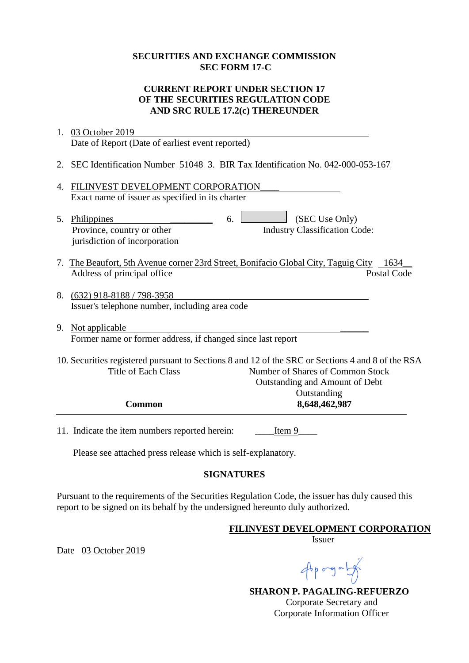### **SECURITIES AND EXCHANGE COMMISSION SEC FORM 17-C**

# **CURRENT REPORT UNDER SECTION 17 OF THE SECURITIES REGULATION CODE AND SRC RULE 17.2(c) THEREUNDER**

|    | 1. 03 October 2019                                                                                                                                                                                    |
|----|-------------------------------------------------------------------------------------------------------------------------------------------------------------------------------------------------------|
|    | Date of Report (Date of earliest event reported)                                                                                                                                                      |
|    | 2. SEC Identification Number 51048 3. BIR Tax Identification No. 042-000-053-167                                                                                                                      |
| 4. | FILINVEST DEVELOPMENT CORPORATION<br>Exact name of issuer as specified in its charter                                                                                                                 |
|    | (SEC Use Only)<br>6.<br>5. Philippines<br>Province, country or other<br><b>Industry Classification Code:</b><br>jurisdiction of incorporation                                                         |
| 7. | The Beaufort, 5th Avenue corner 23rd Street, Bonifacio Global City, Taguig City 1634<br>Address of principal office<br><b>Postal Code</b>                                                             |
|    | 8. (632) 918-8188 / 798-3958<br>Issuer's telephone number, including area code                                                                                                                        |
|    | 9. Not applicable<br>Former name or former address, if changed since last report                                                                                                                      |
|    | 10. Securities registered pursuant to Sections 8 and 12 of the SRC or Sections 4 and 8 of the RSA<br><b>Title of Each Class</b><br>Number of Shares of Common Stock<br>Outstanding and Amount of Debt |
|    | Outstanding<br>8,648,462,987<br><b>Common</b>                                                                                                                                                         |
|    | 11. Indicate the item numbers reported herein:<br>Item 9                                                                                                                                              |
|    | $\mathbf{D}$ and the state of a state of the state of the state of $\mathbf{f}_1$ and $\mathbf{f}_2$ are stated in                                                                                    |

Please see attached press release which is self-explanatory.

# **SIGNATURES**

Pursuant to the requirements of the Securities Regulation Code, the issuer has duly caused this report to be signed on its behalf by the undersigned hereunto duly authorized.

#### **FILINVEST DEVELOPMENT CORPORATION**

Issuer

Date 03 October 2019

Approgram

 **SHARON P. PAGALING-REFUERZO** Corporate Secretary and Corporate Information Officer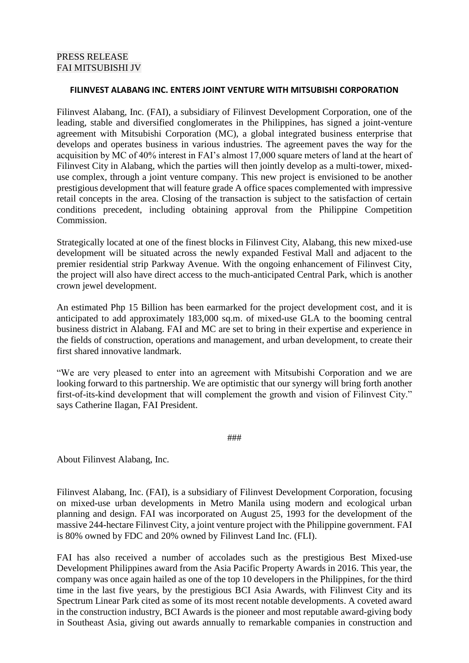#### **FILINVEST ALABANG INC. ENTERS JOINT VENTURE WITH MITSUBISHI CORPORATION**

Filinvest Alabang, Inc. (FAI), a subsidiary of Filinvest Development Corporation, one of the leading, stable and diversified conglomerates in the Philippines, has signed a joint-venture agreement with Mitsubishi Corporation (MC), a global integrated business enterprise that develops and operates business in various industries. The agreement paves the way for the acquisition by MC of 40% interest in FAI's almost 17,000 square meters of land at the heart of Filinvest City in Alabang, which the parties will then jointly develop as a multi-tower, mixeduse complex, through a joint venture company. This new project is envisioned to be another prestigious development that will feature grade A office spaces complemented with impressive retail concepts in the area. Closing of the transaction is subject to the satisfaction of certain conditions precedent, including obtaining approval from the Philippine Competition Commission.

Strategically located at one of the finest blocks in Filinvest City, Alabang, this new mixed-use development will be situated across the newly expanded Festival Mall and adjacent to the premier residential strip Parkway Avenue. With the ongoing enhancement of Filinvest City, the project will also have direct access to the much-anticipated Central Park, which is another crown jewel development.

An estimated Php 15 Billion has been earmarked for the project development cost, and it is anticipated to add approximately 183,000 sq.m. of mixed-use GLA to the booming central business district in Alabang. FAI and MC are set to bring in their expertise and experience in the fields of construction, operations and management, and urban development, to create their first shared innovative landmark.

"We are very pleased to enter into an agreement with Mitsubishi Corporation and we are looking forward to this partnership. We are optimistic that our synergy will bring forth another first-of-its-kind development that will complement the growth and vision of Filinvest City." says Catherine Ilagan, FAI President.

###

About Filinvest Alabang, Inc.

Filinvest Alabang, Inc. (FAI), is a subsidiary of Filinvest Development Corporation, focusing on mixed-use urban developments in Metro Manila using modern and ecological urban planning and design. FAI was incorporated on August 25, 1993 for the development of the massive 244-hectare Filinvest City, a joint venture project with the Philippine government. FAI is 80% owned by FDC and 20% owned by Filinvest Land Inc. (FLI).

FAI has also received a number of accolades such as the prestigious Best Mixed-use Development Philippines award from the Asia Pacific Property Awards in 2016. This year, the company was once again hailed as one of the top 10 developers in the Philippines, for the third time in the last five years, by the prestigious BCI Asia Awards, with Filinvest City and its Spectrum Linear Park cited as some of its most recent notable developments. A coveted award in the construction industry, BCI Awards is the pioneer and most reputable award-giving body in Southeast Asia, giving out awards annually to remarkable companies in construction and